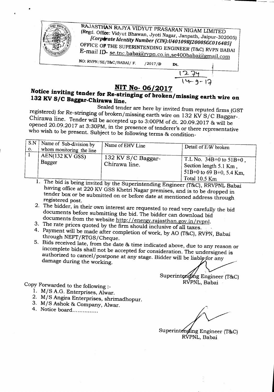

## **NIT No- 06/2017**

## **Notice inviting tender for Re-stringing of broken/ missing earth wire on 132 KV SIC Baggar-Chirawa line.**

Sealed tender are here by invited from reputed firms (GST registered) for Re-stringing of broken/missing earth wire on 132 KV*SIC* Baggar-. Chirawa line. Tender will be accepted up to 3:00PM of dt. 20.09.2017 & will be opened 20.09.2017 at 3:30PM, in the presence of tenderer's or there representative who wish to be present. Subject to be following terms & condition-

| S.N<br>A Name of Sub-division by<br>whom monitoring the line<br>0. | Name of EHV Line                      | Detail of E/W broken                                                                                  |  |  |
|--------------------------------------------------------------------|---------------------------------------|-------------------------------------------------------------------------------------------------------|--|--|
| AEN(132 KV GSS)<br>Bagger                                          | $132$ KV S/C Baggar-<br>Chirawa line. | T.L No. $34B+0$ to $51B+0$ ,<br>Section length $5.1$ Km,<br>51B+0 to 69 B+0, 5.4 Km,<br>Total 10.5 Km |  |  |

<sup>1.</sup> The bid is being invited by the Superintending Engineer (T&C), RRVPNL Babai having office at 220 KV GSS Khetri Nagar premises, and is to be dropped in tender box or be submitted on or before date at mentioned address through registered post.

- 2. The bidder, in their own interest are requested to read *very* carefully the bid documents before submitting the bid. The bidder can download bid documents from the website http://energy.rajasthan.gov.in/rvpnl.
- 3. The rate prices quoted by the firm should inclusive of all taxes.
- 4. Payment will be made after completion of work, by AO (T&C), RVPN, Babai through NEFT/RTGS/Cheque.
- 5. Bids received late, from the date & time indicated above, due to any reason or incomplete bids shall not be accepted for consideration. The undersigned is authorized to cancel/postpone at any stage. Bidder will be liable for any damage during the working.

Superintending Engineer (T&C) RVPNL, Babai

 $14 - 9 - 17$ 

-----

Copy Forwarded to the following:\_

•

- 1. M/S A.G. Enterprises, Alwar.
- 2. M/S Angira Enterprises, shrimadhopur.
- 3. M/S Ashok & Company, Alwar.
- 4. Notice board...............

Superintending Engineer (T&C) RVPNL, Babai